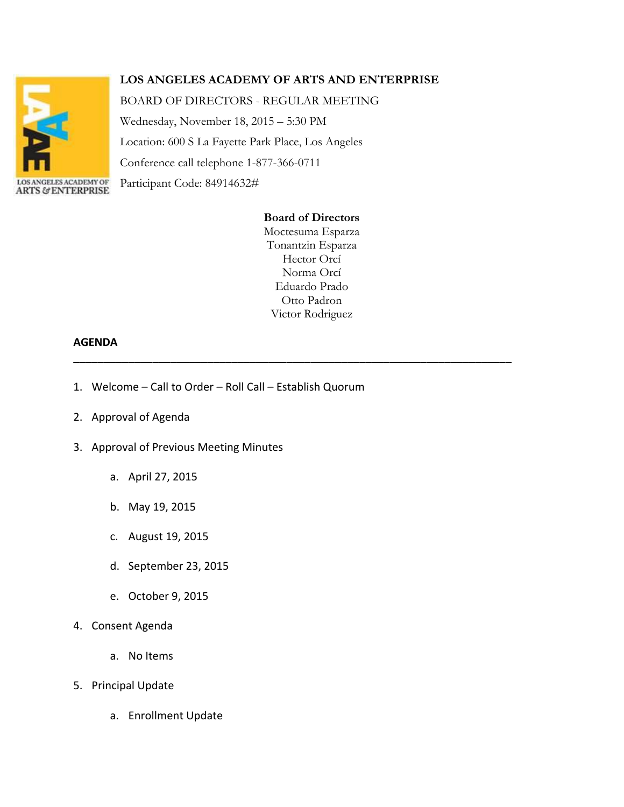

# **LOS ANGELES ACADEMY OF ARTS AND ENTERPRISE**

BOARD OF DIRECTORS - REGULAR MEETING

Wednesday, November 18, 2015 – 5:30 PM Location: 600 S La Fayette Park Place, Los Angeles Conference call telephone 1-877-366-0711 Participant Code: 84914632#

## **Board of Directors**

Moctesuma Esparza Tonantzin Esparza Hector Orcí Norma Orcí Eduardo Prado Otto Padron Victor Rodriguez

**\_\_\_\_\_\_\_\_\_\_\_\_\_\_\_\_\_\_\_\_\_\_\_\_\_\_\_\_\_\_\_\_\_\_\_\_\_\_\_\_\_\_\_\_\_\_\_\_\_\_\_\_\_\_\_\_\_\_\_\_\_\_\_\_\_\_\_\_\_\_\_\_**

#### **AGENDA**

- 1. Welcome Call to Order Roll Call Establish Quorum
- 2. Approval of Agenda
- 3. Approval of Previous Meeting Minutes
	- a. April 27, 2015
	- b. May 19, 2015
	- c. August 19, 2015
	- d. September 23, 2015
	- e. October 9, 2015
- 4. Consent Agenda
	- a. No Items
- 5. Principal Update
	- a. Enrollment Update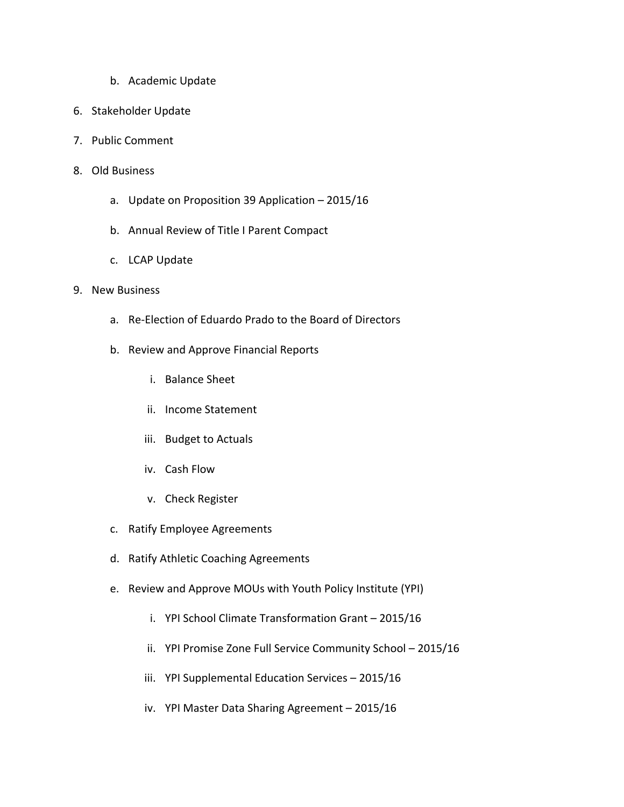- b. Academic Update
- 6. Stakeholder Update
- 7. Public Comment
- 8. Old Business
	- a. Update on Proposition 39 Application 2015/16
	- b. Annual Review of Title I Parent Compact
	- c. LCAP Update

### 9. New Business

- a. Re-Election of Eduardo Prado to the Board of Directors
- b. Review and Approve Financial Reports
	- i. Balance Sheet
	- ii. Income Statement
	- iii. Budget to Actuals
	- iv. Cash Flow
	- v. Check Register
- c. Ratify Employee Agreements
- d. Ratify Athletic Coaching Agreements
- e. Review and Approve MOUs with Youth Policy Institute (YPI)
	- i. YPI School Climate Transformation Grant 2015/16
	- ii. YPI Promise Zone Full Service Community School 2015/16
	- iii. YPI Supplemental Education Services 2015/16
	- iv. YPI Master Data Sharing Agreement 2015/16